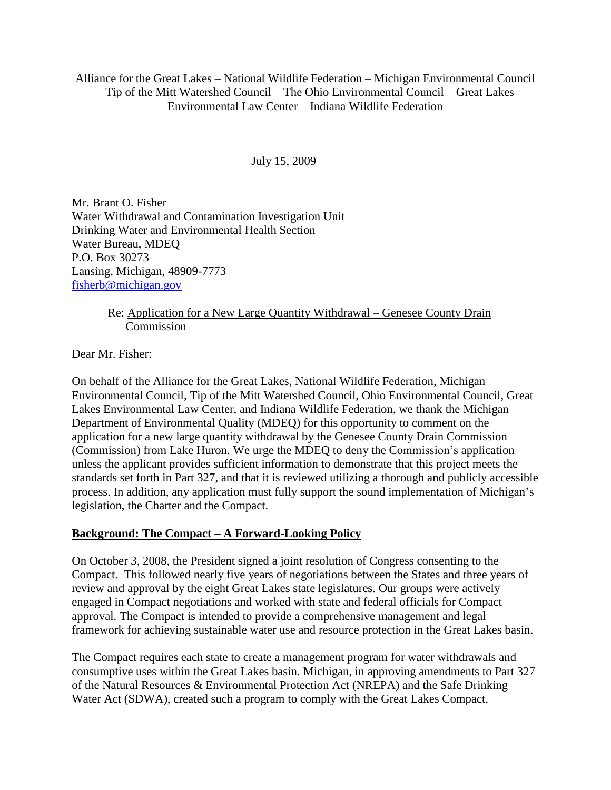Alliance for the Great Lakes – National Wildlife Federation – Michigan Environmental Council – Tip of the Mitt Watershed Council – The Ohio Environmental Council – Great Lakes Environmental Law Center – Indiana Wildlife Federation

#### July 15, 2009

Mr. Brant O. Fisher Water Withdrawal and Contamination Investigation Unit Drinking Water and Environmental Health Section Water Bureau, MDEQ P.O. Box 30273 Lansing, Michigan, 48909-7773 [fisherb@michigan.gov](mailto:fisherb@michigan.gov)

### Re: Application for a New Large Quantity Withdrawal – Genesee County Drain Commission

Dear Mr. Fisher:

On behalf of the Alliance for the Great Lakes, National Wildlife Federation, Michigan Environmental Council, Tip of the Mitt Watershed Council, Ohio Environmental Council, Great Lakes Environmental Law Center, and Indiana Wildlife Federation, we thank the Michigan Department of Environmental Quality (MDEQ) for this opportunity to comment on the application for a new large quantity withdrawal by the Genesee County Drain Commission (Commission) from Lake Huron. We urge the MDEQ to deny the Commission's application unless the applicant provides sufficient information to demonstrate that this project meets the standards set forth in Part 327, and that it is reviewed utilizing a thorough and publicly accessible process. In addition, any application must fully support the sound implementation of Michigan's legislation, the Charter and the Compact.

### **Background: The Compact – A Forward-Looking Policy**

On October 3, 2008, the President signed a joint resolution of Congress consenting to the Compact. This followed nearly five years of negotiations between the States and three years of review and approval by the eight Great Lakes state legislatures. Our groups were actively engaged in Compact negotiations and worked with state and federal officials for Compact approval. The Compact is intended to provide a comprehensive management and legal framework for achieving sustainable water use and resource protection in the Great Lakes basin.

The Compact requires each state to create a management program for water withdrawals and consumptive uses within the Great Lakes basin. Michigan, in approving amendments to Part 327 of the Natural Resources & Environmental Protection Act (NREPA) and the Safe Drinking Water Act (SDWA), created such a program to comply with the Great Lakes Compact.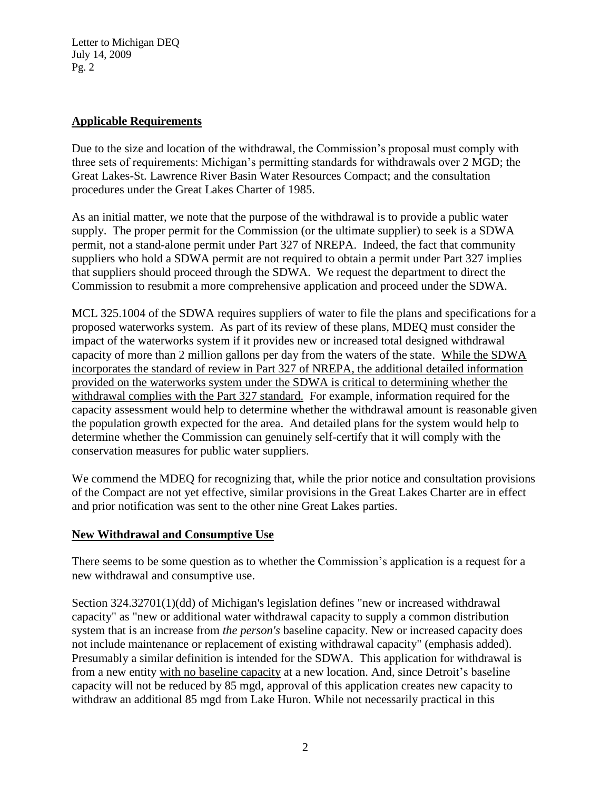### **Applicable Requirements**

Due to the size and location of the withdrawal, the Commission's proposal must comply with three sets of requirements: Michigan's permitting standards for withdrawals over 2 MGD; the Great Lakes-St. Lawrence River Basin Water Resources Compact; and the consultation procedures under the Great Lakes Charter of 1985.

As an initial matter, we note that the purpose of the withdrawal is to provide a public water supply. The proper permit for the Commission (or the ultimate supplier) to seek is a SDWA permit, not a stand-alone permit under Part 327 of NREPA. Indeed, the fact that community suppliers who hold a SDWA permit are not required to obtain a permit under Part 327 implies that suppliers should proceed through the SDWA. We request the department to direct the Commission to resubmit a more comprehensive application and proceed under the SDWA.

MCL 325.1004 of the SDWA requires suppliers of water to file the plans and specifications for a proposed waterworks system. As part of its review of these plans, MDEQ must consider the impact of the waterworks system if it provides new or increased total designed withdrawal capacity of more than 2 million gallons per day from the waters of the state. While the SDWA incorporates the standard of review in Part 327 of NREPA, the additional detailed information provided on the waterworks system under the SDWA is critical to determining whether the withdrawal complies with the Part 327 standard. For example, information required for the capacity assessment would help to determine whether the withdrawal amount is reasonable given the population growth expected for the area. And detailed plans for the system would help to determine whether the Commission can genuinely self-certify that it will comply with the conservation measures for public water suppliers.

We commend the MDEQ for recognizing that, while the prior notice and consultation provisions of the Compact are not yet effective, similar provisions in the Great Lakes Charter are in effect and prior notification was sent to the other nine Great Lakes parties.

# **New Withdrawal and Consumptive Use**

There seems to be some question as to whether the Commission's application is a request for a new withdrawal and consumptive use.

Section 324.32701(1)(dd) of Michigan's legislation defines "new or increased withdrawal capacity" as "new or additional water withdrawal capacity to supply a common distribution system that is an increase from *the person's* baseline capacity. New or increased capacity does not include maintenance or replacement of existing withdrawal capacity" (emphasis added). Presumably a similar definition is intended for the SDWA. This application for withdrawal is from a new entity with no baseline capacity at a new location. And, since Detroit's baseline capacity will not be reduced by 85 mgd, approval of this application creates new capacity to withdraw an additional 85 mgd from Lake Huron. While not necessarily practical in this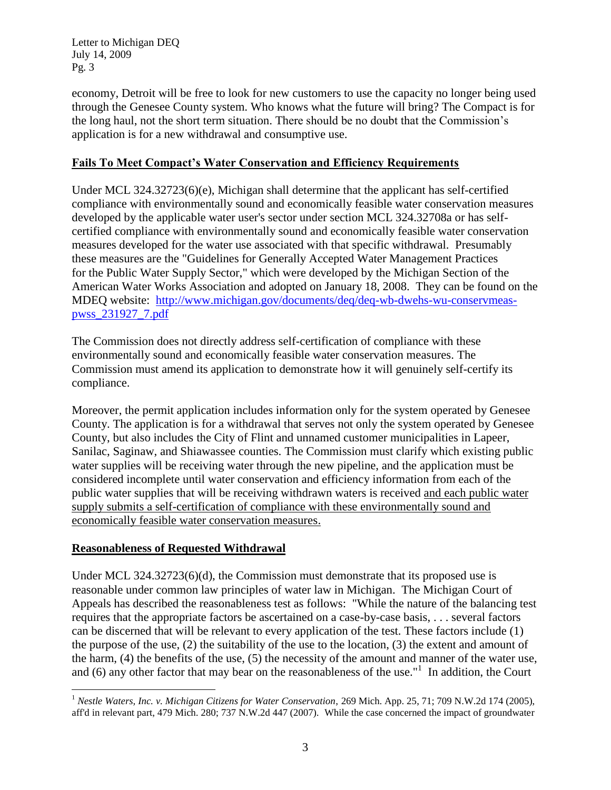economy, Detroit will be free to look for new customers to use the capacity no longer being used through the Genesee County system. Who knows what the future will bring? The Compact is for the long haul, not the short term situation. There should be no doubt that the Commission's application is for a new withdrawal and consumptive use.

### **Fails To Meet Compact's Water Conservation and Efficiency Requirements**

Under MCL 324.32723(6)(e), Michigan shall determine that the applicant has self-certified compliance with environmentally sound and economically feasible water conservation measures developed by the applicable water user's sector under section MCL 324.32708a or has selfcertified compliance with environmentally sound and economically feasible water conservation measures developed for the water use associated with that specific withdrawal. Presumably these measures are the "Guidelines for Generally Accepted Water Management Practices for the Public Water Supply Sector," which were developed by the Michigan Section of the American Water Works Association and adopted on January 18, 2008. They can be found on the MDEQ website: [http://www.michigan.gov/documents/deq/deq-wb-dwehs-wu-conservmeas](http://www.michigan.gov/documents/deq/deq-wb-dwehs-wu-conservmeas-pwss_231927_7.pdf)[pwss\\_231927\\_7.pdf](http://www.michigan.gov/documents/deq/deq-wb-dwehs-wu-conservmeas-pwss_231927_7.pdf) 

The Commission does not directly address self-certification of compliance with these environmentally sound and economically feasible water conservation measures. The Commission must amend its application to demonstrate how it will genuinely self-certify its compliance.

Moreover, the permit application includes information only for the system operated by Genesee County. The application is for a withdrawal that serves not only the system operated by Genesee County, but also includes the City of Flint and unnamed customer municipalities in Lapeer, Sanilac, Saginaw, and Shiawassee counties. The Commission must clarify which existing public water supplies will be receiving water through the new pipeline, and the application must be considered incomplete until water conservation and efficiency information from each of the public water supplies that will be receiving withdrawn waters is received and each public water supply submits a self-certification of compliance with these environmentally sound and economically feasible water conservation measures.

# **Reasonableness of Requested Withdrawal**

 $\overline{a}$ 

Under MCL 324.32723(6)(d), the Commission must demonstrate that its proposed use is reasonable under common law principles of water law in Michigan. The Michigan Court of Appeals has described the reasonableness test as follows: "While the nature of the balancing test requires that the appropriate factors be ascertained on a case-by-case basis, . . . several factors can be discerned that will be relevant to every application of the test. These factors include (1) the purpose of the use, (2) the suitability of the use to the location, (3) the extent and amount of the harm, (4) the benefits of the use, (5) the necessity of the amount and manner of the water use, and  $(6)$  any other factor that may bear on the reasonableness of the use."<sup>1</sup> In addition, the Court

<sup>&</sup>lt;sup>1</sup> *Nestle Waters, Inc. v. Michigan Citizens for Water Conservation, 269 Mich. App. 25, 71; 709 N.W.2d 174 (2005),* aff'd in relevant part, 479 Mich. 280; 737 N.W.2d 447 (2007). While the case concerned the impact of groundwater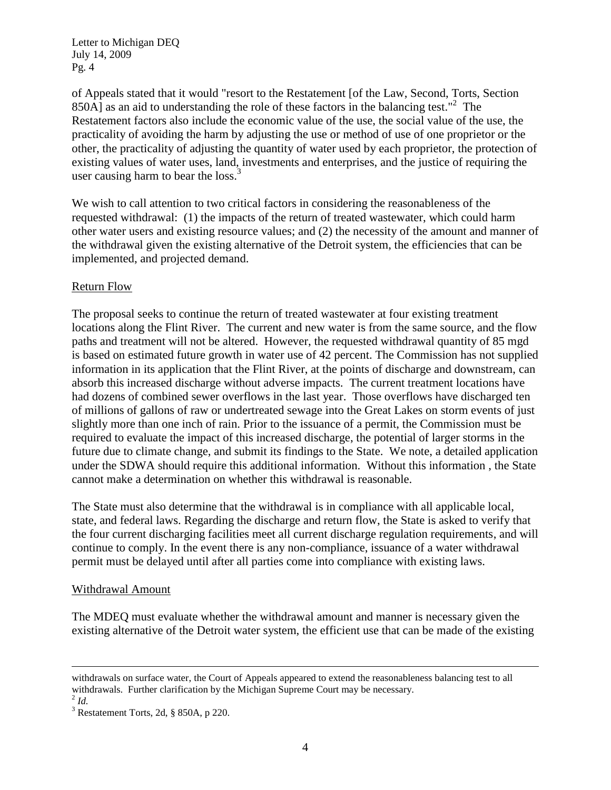of Appeals stated that it would "resort to the Restatement [of the Law, Second, Torts, Section  $850\text{\AA}$ ] as an aid to understanding the role of these factors in the balancing test."<sup>2</sup> The Restatement factors also include the economic value of the use, the social value of the use, the practicality of avoiding the harm by adjusting the use or method of use of one proprietor or the other, the practicality of adjusting the quantity of water used by each proprietor, the protection of existing values of water uses, land, investments and enterprises, and the justice of requiring the user causing harm to bear the loss. $3$ 

We wish to call attention to two critical factors in considering the reasonableness of the requested withdrawal: (1) the impacts of the return of treated wastewater, which could harm other water users and existing resource values; and (2) the necessity of the amount and manner of the withdrawal given the existing alternative of the Detroit system, the efficiencies that can be implemented, and projected demand.

### Return Flow

The proposal seeks to continue the return of treated wastewater at four existing treatment locations along the Flint River. The current and new water is from the same source, and the flow paths and treatment will not be altered. However, the requested withdrawal quantity of 85 mgd is based on estimated future growth in water use of 42 percent. The Commission has not supplied information in its application that the Flint River, at the points of discharge and downstream, can absorb this increased discharge without adverse impacts. The current treatment locations have had dozens of combined sewer overflows in the last year. Those overflows have discharged ten of millions of gallons of raw or undertreated sewage into the Great Lakes on storm events of just slightly more than one inch of rain. Prior to the issuance of a permit, the Commission must be required to evaluate the impact of this increased discharge, the potential of larger storms in the future due to climate change, and submit its findings to the State. We note, a detailed application under the SDWA should require this additional information. Without this information , the State cannot make a determination on whether this withdrawal is reasonable.

The State must also determine that the withdrawal is in compliance with all applicable local, state, and federal laws. Regarding the discharge and return flow, the State is asked to verify that the four current discharging facilities meet all current discharge regulation requirements, and will continue to comply. In the event there is any non-compliance, issuance of a water withdrawal permit must be delayed until after all parties come into compliance with existing laws.

### Withdrawal Amount

The MDEQ must evaluate whether the withdrawal amount and manner is necessary given the existing alternative of the Detroit water system, the efficient use that can be made of the existing

 $\overline{a}$ 

withdrawals on surface water, the Court of Appeals appeared to extend the reasonableness balancing test to all withdrawals. Further clarification by the Michigan Supreme Court may be necessary.

<sup>2</sup> *Id.*

 $3$  Restatement Torts, 2d, § 850A, p 220.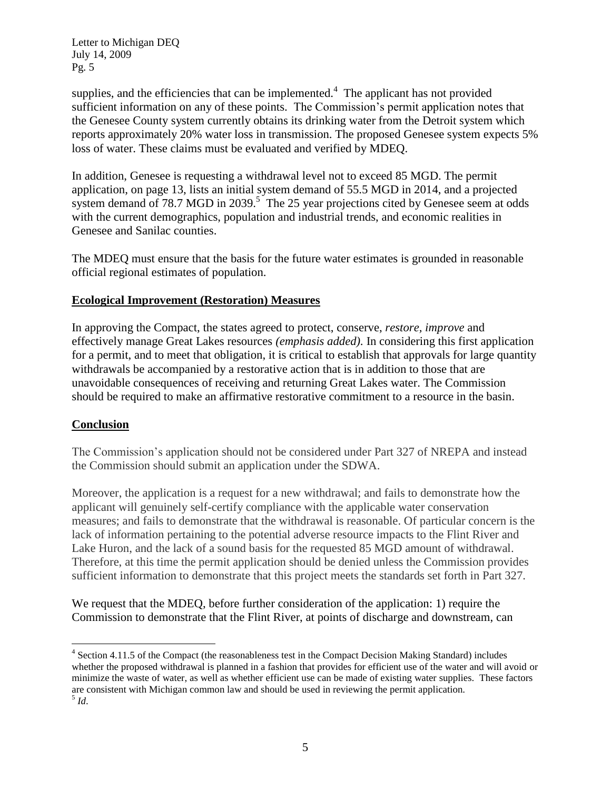supplies, and the efficiencies that can be implemented. $4$  The applicant has not provided sufficient information on any of these points. The Commission's permit application notes that the Genesee County system currently obtains its drinking water from the Detroit system which reports approximately 20% water loss in transmission. The proposed Genesee system expects 5% loss of water. These claims must be evaluated and verified by MDEQ.

In addition, Genesee is requesting a withdrawal level not to exceed 85 MGD. The permit application, on page 13, lists an initial system demand of 55.5 MGD in 2014, and a projected system demand of 78.7 MGD in  $2039$ .<sup>5</sup> The 25 year projections cited by Genesee seem at odds with the current demographics, population and industrial trends, and economic realities in Genesee and Sanilac counties.

The MDEQ must ensure that the basis for the future water estimates is grounded in reasonable official regional estimates of population.

# **Ecological Improvement (Restoration) Measures**

In approving the Compact, the states agreed to protect, conserve, *restore, improve* and effectively manage Great Lakes resources *(emphasis added)*. In considering this first application for a permit, and to meet that obligation, it is critical to establish that approvals for large quantity withdrawals be accompanied by a restorative action that is in addition to those that are unavoidable consequences of receiving and returning Great Lakes water. The Commission should be required to make an affirmative restorative commitment to a resource in the basin.

### **Conclusion**

 $\overline{a}$ 

The Commission's application should not be considered under Part 327 of NREPA and instead the Commission should submit an application under the SDWA.

Moreover, the application is a request for a new withdrawal; and fails to demonstrate how the applicant will genuinely self-certify compliance with the applicable water conservation measures; and fails to demonstrate that the withdrawal is reasonable. Of particular concern is the lack of information pertaining to the potential adverse resource impacts to the Flint River and Lake Huron, and the lack of a sound basis for the requested 85 MGD amount of withdrawal. Therefore, at this time the permit application should be denied unless the Commission provides sufficient information to demonstrate that this project meets the standards set forth in Part 327.

We request that the MDEQ, before further consideration of the application: 1) require the Commission to demonstrate that the Flint River, at points of discharge and downstream, can

<sup>&</sup>lt;sup>4</sup> Section 4.11.5 of the Compact (the reasonableness test in the Compact Decision Making Standard) includes whether the proposed withdrawal is planned in a fashion that provides for efficient use of the water and will avoid or minimize the waste of water, as well as whether efficient use can be made of existing water supplies. These factors are consistent with Michigan common law and should be used in reviewing the permit application. 5 *Id*.